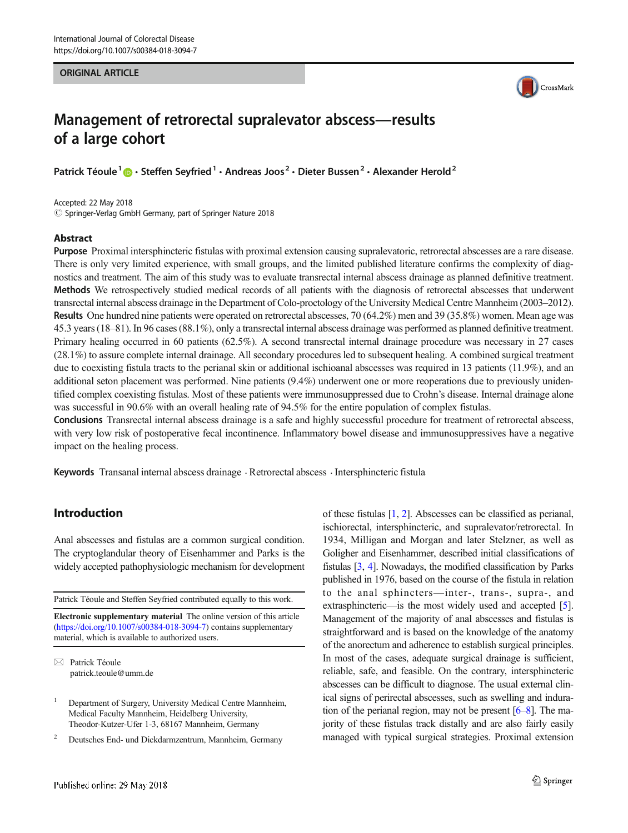### ORIGINAL ARTICLE



# Management of retrorectal supralevator abscess—results of a large cohort

Patrick Téoule<sup>1</sup>  $\cdot$  Steffen Seyfried<sup>1</sup>  $\cdot$  Andreas Joos<sup>2</sup>  $\cdot$  Dieter Bussen<sup>2</sup>  $\cdot$  Alexander Herold<sup>2</sup>

Accepted: 22 May 2018  $\circled{c}$  Springer-Verlag GmbH Germany, part of Springer Nature 2018

### Abstract

Purpose Proximal intersphincteric fistulas with proximal extension causing supralevatoric, retrorectal abscesses are a rare disease. There is only very limited experience, with small groups, and the limited published literature confirms the complexity of diagnostics and treatment. The aim of this study was to evaluate transrectal internal abscess drainage as planned definitive treatment. Methods We retrospectively studied medical records of all patients with the diagnosis of retrorectal abscesses that underwent transrectal internal abscess drainage in the Department of Colo-proctology of the University Medical Centre Mannheim (2003–2012). Results One hundred nine patients were operated on retrorectal abscesses, 70 (64.2%) men and 39 (35.8%) women. Mean age was 45.3 years (18–81). In 96 cases (88.1%), only a transrectal internal abscess drainage was performed as planned definitive treatment. Primary healing occurred in 60 patients (62.5%). A second transrectal internal drainage procedure was necessary in 27 cases (28.1%) to assure complete internal drainage. All secondary procedures led to subsequent healing. A combined surgical treatment due to coexisting fistula tracts to the perianal skin or additional ischioanal abscesses was required in 13 patients (11.9%), and an additional seton placement was performed. Nine patients (9.4%) underwent one or more reoperations due to previously unidentified complex coexisting fistulas. Most of these patients were immunosuppressed due to Crohn's disease. Internal drainage alone was successful in 90.6% with an overall healing rate of 94.5% for the entire population of complex fistulas.

Conclusions Transrectal internal abscess drainage is a safe and highly successful procedure for treatment of retrorectal abscess, with very low risk of postoperative fecal incontinence. Inflammatory bowel disease and immunosuppressives have a negative impact on the healing process.

Keywords Transanal internal abscess drainage . Retrorectal abscess . Intersphincteric fistula

## Introduction

Anal abscesses and fistulas are a common surgical condition. The cryptoglandular theory of Eisenhammer and Parks is the widely accepted pathophysiologic mechanism for development

Patrick Téoule and Steffen Seyfried contributed equally to this work.

Electronic supplementary material The online version of this article (<https://doi.org/10.1007/s00384-018-3094-7>) contains supplementary material, which is available to authorized users.

 $\boxtimes$  Patrick Téoule [patrick.teoule@umm.de](mailto:patrick.teoule@umm.de)

<sup>2</sup> Deutsches End- und Dickdarmzentrum, Mannheim, Germany

Goligher and Eisenhammer, described initial classifications of fistulas [\[3,](#page-4-0) [4\]](#page-4-0). Nowadays, the modified classification by Parks published in 1976, based on the course of the fistula in relation to the anal sphincters—inter-, trans-, supra-, and extrasphincteric—is the most widely used and accepted [[5\]](#page-4-0). Management of the majority of anal abscesses and fistulas is straightforward and is based on the knowledge of the anatomy of the anorectum and adherence to establish surgical principles. In most of the cases, adequate surgical drainage is sufficient, reliable, safe, and feasible. On the contrary, intersphincteric abscesses can be difficult to diagnose. The usual external clinical signs of perirectal abscesses, such as swelling and induration of the perianal region, may not be present [\[6](#page-4-0)–[8\]](#page-4-0). The majority of these fistulas track distally and are also fairly easily managed with typical surgical strategies. Proximal extension

of these fistulas [\[1](#page-4-0), [2\]](#page-4-0). Abscesses can be classified as perianal, ischiorectal, intersphincteric, and supralevator/retrorectal. In 1934, Milligan and Morgan and later Stelzner, as well as

<sup>&</sup>lt;sup>1</sup> Department of Surgery, University Medical Centre Mannheim, Medical Faculty Mannheim, Heidelberg University, Theodor-Kutzer-Ufer 1-3, 68167 Mannheim, Germany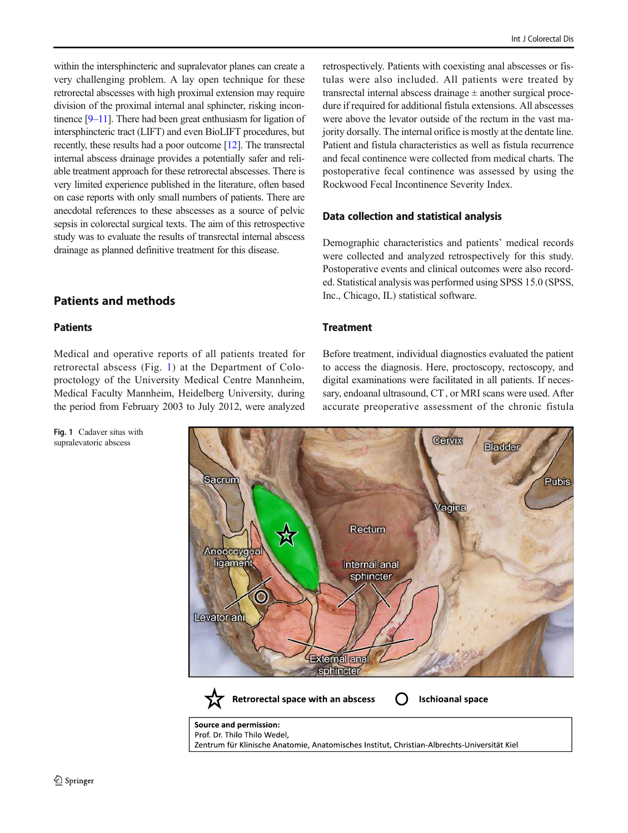within the intersphincteric and supralevator planes can create a very challenging problem. A lay open technique for these retrorectal abscesses with high proximal extension may require division of the proximal internal anal sphincter, risking incontinence [[9](#page-4-0)–[11](#page-4-0)]. There had been great enthusiasm for ligation of intersphincteric tract (LIFT) and even BioLIFT procedures, but recently, these results had a poor outcome [\[12](#page-4-0)]. The transrectal internal abscess drainage provides a potentially safer and reliable treatment approach for these retrorectal abscesses. There is very limited experience published in the literature, often based on case reports with only small numbers of patients. There are anecdotal references to these abscesses as a source of pelvic sepsis in colorectal surgical texts. The aim of this retrospective study was to evaluate the results of transrectal internal abscess drainage as planned definitive treatment for this disease.

# Patients and methods

### **Patients**

Medical and operative reports of all patients treated for retrorectal abscess (Fig. 1) at the Department of Coloproctology of the University Medical Centre Mannheim, Medical Faculty Mannheim, Heidelberg University, during the period from February 2003 to July 2012, were analyzed

retrospectively. Patients with coexisting anal abscesses or fistulas were also included. All patients were treated by transrectal internal abscess drainage  $\pm$  another surgical procedure if required for additional fistula extensions. All abscesses were above the levator outside of the rectum in the vast majority dorsally. The internal orifice is mostly at the dentate line. Patient and fistula characteristics as well as fistula recurrence and fecal continence were collected from medical charts. The postoperative fecal continence was assessed by using the Rockwood Fecal Incontinence Severity Index.

### Data collection and statistical analysis

Demographic characteristics and patients' medical records were collected and analyzed retrospectively for this study. Postoperative events and clinical outcomes were also recorded. Statistical analysis was performed using SPSS 15.0 (SPSS, Inc., Chicago, IL) statistical software.

### **Treatment**

Before treatment, individual diagnostics evaluated the patient to access the diagnosis. Here, proctoscopy, rectoscopy, and digital examinations were facilitated in all patients. If necessary, endoanal ultrasound, CT, or MRI scans were used. After accurate preoperative assessment of the chronic fistula



Fig. 1 Cadaver situs with supralevatoric abscess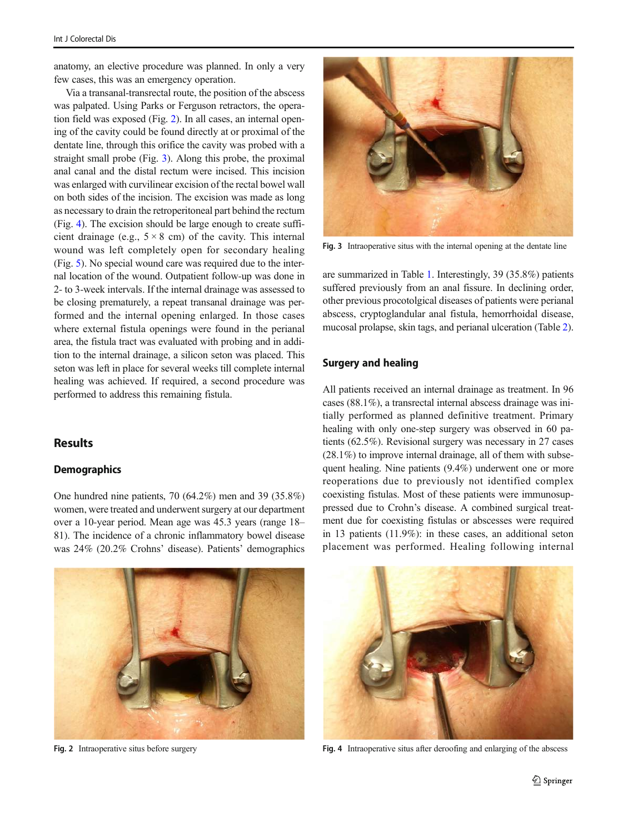anatomy, an elective procedure was planned. In only a very few cases, this was an emergency operation.

Via a transanal-transrectal route, the position of the abscess was palpated. Using Parks or Ferguson retractors, the operation field was exposed (Fig. 2). In all cases, an internal opening of the cavity could be found directly at or proximal of the dentate line, through this orifice the cavity was probed with a straight small probe (Fig. 3). Along this probe, the proximal anal canal and the distal rectum were incised. This incision was enlarged with curvilinear excision of the rectal bowel wall on both sides of the incision. The excision was made as long as necessary to drain the retroperitoneal part behind the rectum (Fig. 4). The excision should be large enough to create sufficient drainage (e.g.,  $5 \times 8$  cm) of the cavity. This internal wound was left completely open for secondary healing (Fig. [5\)](#page-3-0). No special wound care was required due to the internal location of the wound. Outpatient follow-up was done in 2- to 3-week intervals. If the internal drainage was assessed to be closing prematurely, a repeat transanal drainage was performed and the internal opening enlarged. In those cases where external fistula openings were found in the perianal area, the fistula tract was evaluated with probing and in addition to the internal drainage, a silicon seton was placed. This seton was left in place for several weeks till complete internal healing was achieved. If required, a second procedure was performed to address this remaining fistula.

# **Results**

#### **Demographics**

One hundred nine patients, 70 (64.2%) men and 39 (35.8%) women, were treated and underwent surgery at our department over a 10-year period. Mean age was 45.3 years (range 18– 81). The incidence of a chronic inflammatory bowel disease was 24% (20.2% Crohns' disease). Patients' demographics

![](_page_2_Picture_6.jpeg)

Fig. 3 Intraoperative situs with the internal opening at the dentate line

are summarized in Table [1.](#page-3-0) Interestingly, 39 (35.8%) patients suffered previously from an anal fissure. In declining order, other previous procotolgical diseases of patients were perianal abscess, cryptoglandular anal fistula, hemorrhoidal disease, mucosal prolapse, skin tags, and perianal ulceration (Table [2\)](#page-3-0).

### Surgery and healing

All patients received an internal drainage as treatment. In 96 cases (88.1%), a transrectal internal abscess drainage was initially performed as planned definitive treatment. Primary healing with only one-step surgery was observed in 60 patients (62.5%). Revisional surgery was necessary in 27 cases (28.1%) to improve internal drainage, all of them with subsequent healing. Nine patients (9.4%) underwent one or more reoperations due to previously not identified complex coexisting fistulas. Most of these patients were immunosuppressed due to Crohn's disease. A combined surgical treatment due for coexisting fistulas or abscesses were required in 13 patients (11.9%): in these cases, an additional seton placement was performed. Healing following internal

![](_page_2_Picture_11.jpeg)

![](_page_2_Picture_13.jpeg)

Fig. 2 Intraoperative situs before surgery Fig. 4 Intraoperative situs after deroofing and enlarging of the abscess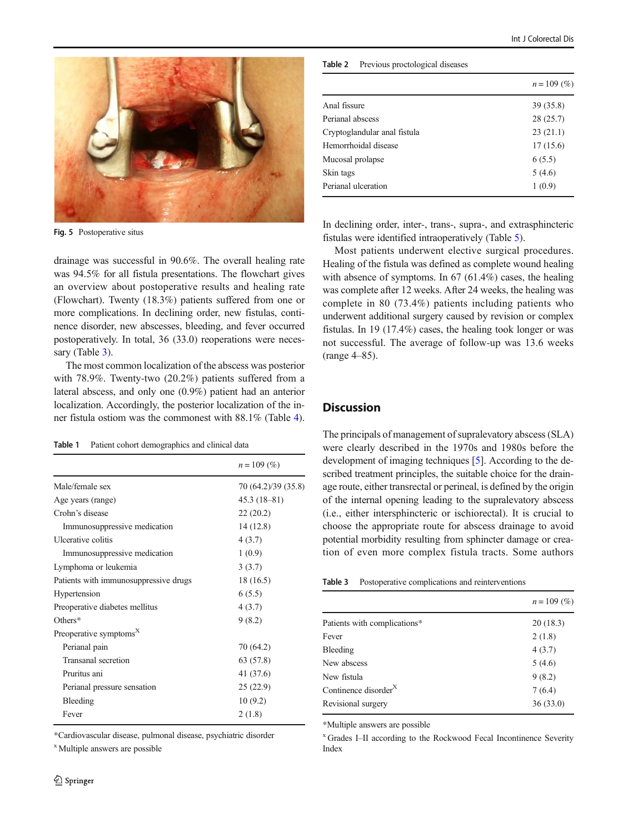<span id="page-3-0"></span>![](_page_3_Picture_1.jpeg)

Fig. 5 Postoperative situs

drainage was successful in 90.6%. The overall healing rate was 94.5% for all fistula presentations. The flowchart gives an overview about postoperative results and healing rate (Flowchart). Twenty (18.3%) patients suffered from one or more complications. In declining order, new fistulas, continence disorder, new abscesses, bleeding, and fever occurred postoperatively. In total, 36 (33.0) reoperations were necessary (Table 3).

The most common localization of the abscess was posterior with 78.9%. Twenty-two (20.2%) patients suffered from a lateral abscess, and only one (0.9%) patient had an anterior localization. Accordingly, the posterior localization of the inner fistula ostiom was the commonest with 88.1% (Table [4\)](#page-4-0).

Table 1 Patient cohort demographics and clinical data

|                                       | $n = 109$ (%)       |
|---------------------------------------|---------------------|
| Male/female sex                       | 70 (64.2)/39 (35.8) |
| Age years (range)                     | $45.3(18-81)$       |
| Crohn's disease                       | 22(20.2)            |
| Immunosuppressive medication          | 14 (12.8)           |
| Ulcerative colitis                    | 4(3.7)              |
| Immunosuppressive medication          | 1(0.9)              |
| Lymphoma or leukemia                  | 3(3.7)              |
| Patients with immunosuppressive drugs | 18 (16.5)           |
| Hypertension                          | 6(5.5)              |
| Preoperative diabetes mellitus        | 4(3.7)              |
| $O$ thers*                            | 9(8.2)              |
| Preoperative symptoms <sup>X</sup>    |                     |
| Perianal pain                         | 70 (64.2)           |
| Transanal secretion                   | 63 (57.8)           |
| Pruritus ani                          | 41 (37.6)           |
| Perianal pressure sensation           | 25(22.9)            |
| Bleeding                              | 10(9.2)             |
| Fever                                 | 2(1.8)              |

\*Cardiovascular disease, pulmonal disease, psychiatric disorder

<sup>x</sup> Multiple answers are possible

#### Table 2 Previous proctological diseases

|                              | $n = 109$ (%) |
|------------------------------|---------------|
| Anal fissure                 | 39 (35.8)     |
| Perianal abscess             | 28(25.7)      |
| Cryptoglandular anal fistula | 23(21.1)      |
| Hemorrhoidal disease         | 17(15.6)      |
| Mucosal prolapse             | 6(5.5)        |
| Skin tags                    | 5(4.6)        |
| Perianal ulceration          | 1(0.9)        |
|                              |               |

In declining order, inter-, trans-, supra-, and extrasphincteric fistulas were identified intraoperatively (Table [5\)](#page-4-0).

Most patients underwent elective surgical procedures. Healing of the fistula was defined as complete wound healing with absence of symptoms. In 67 (61.4%) cases, the healing was complete after 12 weeks. After 24 weeks, the healing was complete in 80 (73.4%) patients including patients who underwent additional surgery caused by revision or complex fistulas. In 19 (17.4%) cases, the healing took longer or was not successful. The average of follow-up was 13.6 weeks (range 4–85).

### **Discussion**

The principals of management of supralevatory abscess (SLA) were clearly described in the 1970s and 1980s before the development of imaging techniques [[5\]](#page-4-0). According to the described treatment principles, the suitable choice for the drainage route, either transrectal or perineal, is defined by the origin of the internal opening leading to the supralevatory abscess (i.e., either intersphincteric or ischiorectal). It is crucial to choose the appropriate route for abscess drainage to avoid potential morbidity resulting from sphincter damage or creation of even more complex fistula tracts. Some authors

| Table 3 | Postoperative complications and reinterventions |  |  |  |
|---------|-------------------------------------------------|--|--|--|
|---------|-------------------------------------------------|--|--|--|

|                                  | $n = 109$ (%) |
|----------------------------------|---------------|
| Patients with complications*     | 20(18.3)      |
| Fever                            | 2(1.8)        |
| Bleeding                         | 4(3.7)        |
| New abscess                      | 5(4.6)        |
| New fistula                      | 9(8.2)        |
| Continence disorder <sup>X</sup> | 7(6.4)        |
| Revisional surgery               | 36(33.0)      |
|                                  |               |

\*Multiple answers are possible

<sup>x</sup> Grades I–II according to the Rockwood Fecal Incontinence Severity Index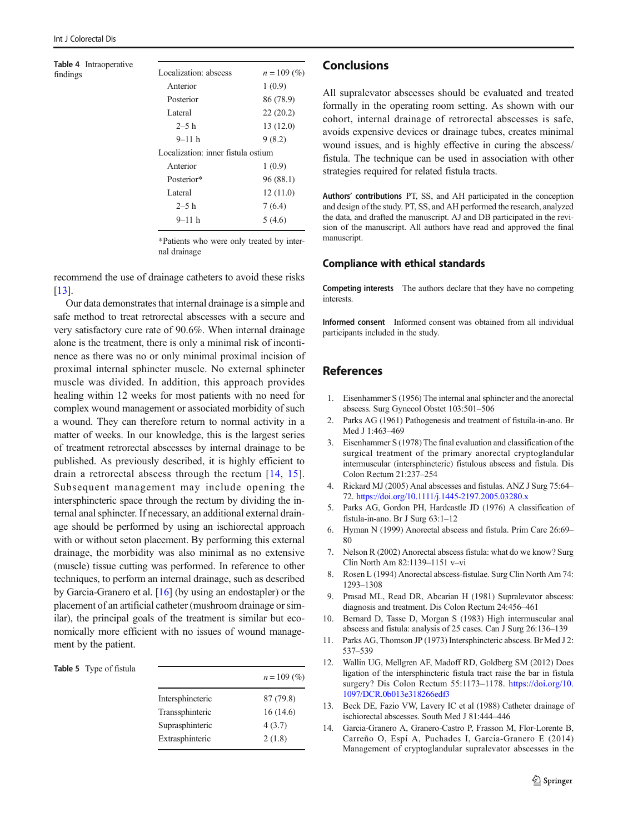#### <span id="page-4-0"></span>Table 4 Intraoperative findings

| Localization: abscess              | $n = 109$ (%) |
|------------------------------------|---------------|
| Anterior                           | 1(0.9)        |
| Posterior                          | 86 (78.9)     |
| Lateral                            | 22(20.2)      |
| $2 - 5h$                           | 13 (12.0)     |
| $9 - 11$ h                         | 9(8.2)        |
| Localization: inner fistula ostium |               |
| Anterior                           | 1(0.9)        |
| Posterior*                         | 96 (88.1)     |
| Lateral                            | 12(11.0)      |
| $2 - 5 h$                          | 7(6.4)        |
| 9–11 h                             | 5 (4.6)       |
|                                    |               |

\*Patients who were only treated by internal drainage

recommend the use of drainage catheters to avoid these risks [13].

Our data demonstrates that internal drainage is a simple and safe method to treat retrorectal abscesses with a secure and very satisfactory cure rate of 90.6%. When internal drainage alone is the treatment, there is only a minimal risk of incontinence as there was no or only minimal proximal incision of proximal internal sphincter muscle. No external sphincter muscle was divided. In addition, this approach provides healing within 12 weeks for most patients with no need for complex wound management or associated morbidity of such a wound. They can therefore return to normal activity in a matter of weeks. In our knowledge, this is the largest series of treatment retrorectal abscesses by internal drainage to be published. As previously described, it is highly efficient to drain a retrorectal abscess through the rectum [14, [15](#page-5-0)]. Subsequent management may include opening the intersphincteric space through the rectum by dividing the internal anal sphincter. If necessary, an additional external drainage should be performed by using an ischiorectal approach with or without seton placement. By performing this external drainage, the morbidity was also minimal as no extensive (muscle) tissue cutting was performed. In reference to other techniques, to perform an internal drainage, such as described by Garcia-Granero et al. [[16](#page-5-0)] (by using an endostapler) or the placement of an artificial catheter (mushroom drainage or similar), the principal goals of the treatment is similar but economically more efficient with no issues of wound management by the patient.

#### Table 5 Type of fistula

|                  | $n = 109$ (%) |
|------------------|---------------|
| Intersphincteric | 87 (79.8)     |
| Transsphinteric  | 16(14.6)      |
| Suprasphinteric  | 4(3.7)        |
| Extrasphinteric  | 2(1.8)        |

### Conclusions

All supralevator abscesses should be evaluated and treated formally in the operating room setting. As shown with our cohort, internal drainage of retrorectal abscesses is safe, avoids expensive devices or drainage tubes, creates minimal wound issues, and is highly effective in curing the abscess/ fistula. The technique can be used in association with other strategies required for related fistula tracts.

Authors' contributions PT, SS, and AH participated in the conception and design of the study. PT, SS, and AH performed the research, analyzed the data, and drafted the manuscript. AJ and DB participated in the revision of the manuscript. All authors have read and approved the final manuscript.

### Compliance with ethical standards

Competing interests The authors declare that they have no competing interests.

Informed consent Informed consent was obtained from all individual participants included in the study.

### References

- 1. Eisenhammer S (1956) The internal anal sphincter and the anorectal abscess. Surg Gynecol Obstet 103:501–506
- 2. Parks AG (1961) Pathogenesis and treatment of fistuila-in-ano. Br Med J 1:463–469
- 3. Eisenhammer S (1978) The final evaluation and classification of the surgical treatment of the primary anorectal cryptoglandular intermuscular (intersphincteric) fistulous abscess and fistula. Dis Colon Rectum 21:237–254
- 4. Rickard MJ (2005) Anal abscesses and fistulas. ANZ J Surg 75:64– 72. <https://doi.org/10.1111/j.1445-2197.2005.03280.x>
- 5. Parks AG, Gordon PH, Hardcastle JD (1976) A classification of fistula-in-ano. Br J Surg 63:1–12
- 6. Hyman N (1999) Anorectal abscess and fistula. Prim Care 26:69– 80
- 7. Nelson R (2002) Anorectal abscess fistula: what do we know? Surg Clin North Am 82:1139–1151 v–vi
- 8. Rosen L (1994) Anorectal abscess-fistulae. Surg Clin North Am 74: 1293–1308
- 9. Prasad ML, Read DR, Abcarian H (1981) Supralevator abscess: diagnosis and treatment. Dis Colon Rectum 24:456–461
- 10. Bernard D, Tasse D, Morgan S (1983) High intermuscular anal abscess and fistula: analysis of 25 cases. Can J Surg 26:136–139
- 11. Parks AG, Thomson JP (1973) Intersphincteric abscess. Br Med J 2: 537–539
- 12. Wallin UG, Mellgren AF, Madoff RD, Goldberg SM (2012) Does ligation of the intersphincteric fistula tract raise the bar in fistula surgery? Dis Colon Rectum 55:1173–1178. [https://doi.org/10.](https://doi.org/10.1097/DCR.0b013e318266edf3) [1097/DCR.0b013e318266edf3](https://doi.org/10.1097/DCR.0b013e318266edf3)
- 13. Beck DE, Fazio VW, Lavery IC et al (1988) Catheter drainage of ischiorectal abscesses. South Med J 81:444–446
- 14. Garcia-Granero A, Granero-Castro P, Frasson M, Flor-Lorente B, Carreño O, Espí A, Puchades I, Garcia-Granero E (2014) Management of cryptoglandular supralevator abscesses in the